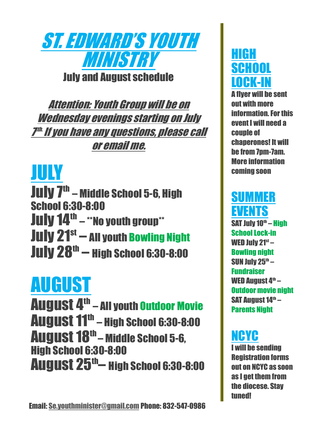

Attention: Youth Group will be on Wednesday evenings starting on July 7th. If you have any questions, please call or email me.

### JULY

July 7<sup>th</sup> – Middle School 5-6, High School 6:30-8:00 July 14<sup>th</sup> – \*\*No youth group\*\* July 21<sup>st</sup> — All youth Bowling Night July 28th – High School 6:30-8:00

# AUGUST

August 4<sup>th</sup> – All youth Outdoor Movie **August 11<sup>th</sup> – High School 6:30-8:00** August 18<sup>th</sup> – Middle School 5-6, High School 6:30-8:00 August 25<sup>th</sup>— High School 6:30-8:00

EMAI[L:](mailto:Se.youthminister@gmail.com) [SE.YOUTHMINISTER@GMAIL.COM](mailto:se.youthminister@gmail.com) Email: Se.youthminister@gmail.com Phone: 832-547-0986

### HIGH SCHOOL LOCK-IN

A flyer will be sent out with more information. For this event I will need a couple of chaperones! It will be from 7pm-7am. More information coming soon

### **SUMMER** EVENTS

SAT July 10<sup>th</sup> – High School Lock-in WED July 21st – Bowling night SUN July 25th  $-$ Fundraiser WED August 4<sup>th</sup> – Outdoor movie night SAT August 14<sup>th</sup> – Parents Night

### NCYC

I will be sending Registration forms out on NCYC as soon as I get them from the diocese. Stay tuned!